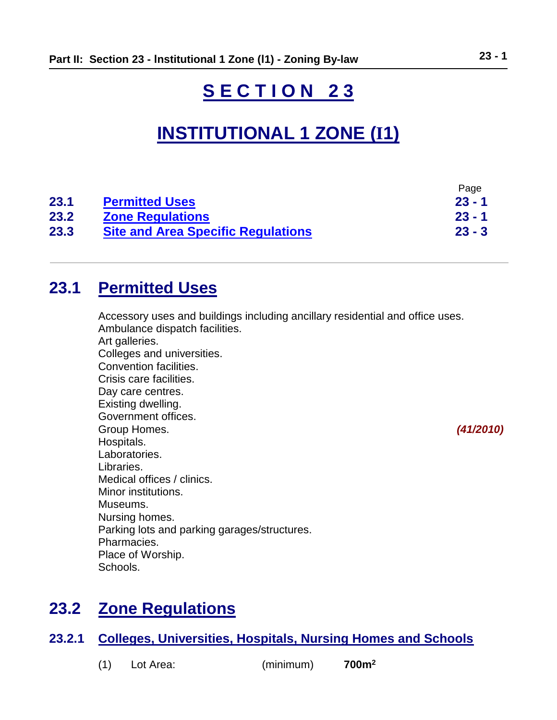# **S E C T I O N 2 3**

# **INSTITUTIONAL 1 ZONE (I1)**

| 23.1 | <b>Permitted Uses</b>                     | ı uyu<br>$23 - 1$ |
|------|-------------------------------------------|-------------------|
| 23.2 | <b>Zone Regulations</b>                   | $23 - 1$          |
| 23.3 | <b>Site and Area Specific Regulations</b> | $23 - 3$          |

## <span id="page-0-0"></span>**23.1 Permitted Uses**

Accessory uses and buildings including ancillary residential and office uses. Ambulance dispatch facilities. Art galleries. Colleges and universities. Convention facilities. Crisis care facilities. Day care centres. Existing dwelling. Government offices. Group Homes. *(41/2010)* Hospitals. Laboratories. Libraries. Medical offices / clinics. Minor institutions. Museums. Nursing homes. Parking lots and parking garages/structures. Pharmacies. Place of Worship. Schools.

## <span id="page-0-1"></span>**23.2 Zone Regulations**

## **23.2.1 Colleges, Universities, Hospitals, Nursing Homes and Schools**

| (1) | Lot Area: | (minimum) | 700 <sup>m²</sup> |
|-----|-----------|-----------|-------------------|
|-----|-----------|-----------|-------------------|

Page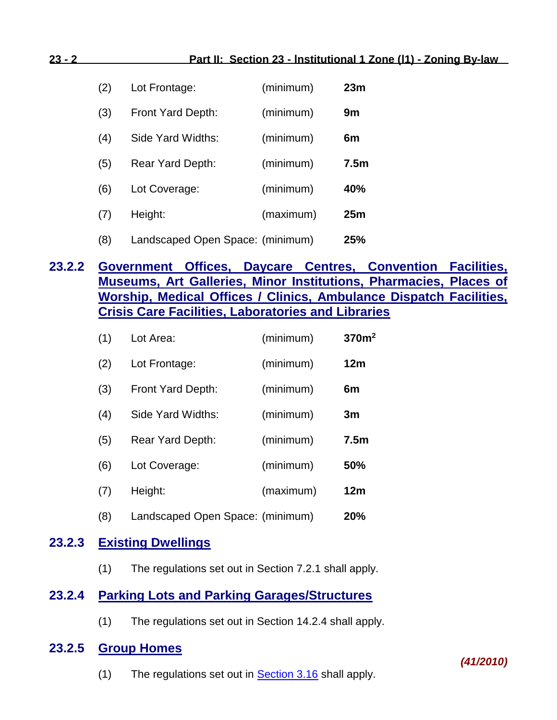| (2) | Lot Frontage:                    | (minimum) | 23m              |
|-----|----------------------------------|-----------|------------------|
| (3) | Front Yard Depth:                | (minimum) | 9m               |
| (4) | Side Yard Widths:                | (minimum) | 6m               |
| (5) | Rear Yard Depth:                 | (minimum) | 7.5 <sub>m</sub> |
| (6) | Lot Coverage:                    | (minimum) | 40%              |
| (7) | Height:                          | (maximum) | 25 <sub>m</sub>  |
| (8) | Landscaped Open Space: (minimum) |           | 25%              |

## **23.2.2 Government Offices, Daycare Centres, Convention Facilities, Museums, Art Galleries, Minor Institutions, Pharmacies, Places of Worship, Medical Offices / Clinics, Ambulance Dispatch Facilities, Crisis Care Facilities, Laboratories and Libraries**

| (1) | Lot Area:                        | (minimum) | 370 <sup>m²</sup> |
|-----|----------------------------------|-----------|-------------------|
| (2) | Lot Frontage:                    | (minimum) | 12m               |
| (3) | Front Yard Depth:                | (minimum) | 6m                |
| (4) | Side Yard Widths:                | (minimum) | 3m                |
| (5) | Rear Yard Depth:                 | (minimum) | 7.5 <sub>m</sub>  |
| (6) | Lot Coverage:                    | (minimum) | 50%               |
| (7) | Height:                          | (maximum) | 12m               |
| (8) | Landscaped Open Space: (minimum) |           | 20%               |

### **23.2.3 Existing Dwellings**

(1) The regulations set out in Section 7.2.1 shall apply.

### **23.2.4 Parking Lots and Parking Garages/Structures**

(1) The regulations set out in Section 14.2.4 shall apply.

### **23.2.5 Group Homes**

(1) The regulations set out in  $Section 3.16$  shall apply.

#### *(41/2010)*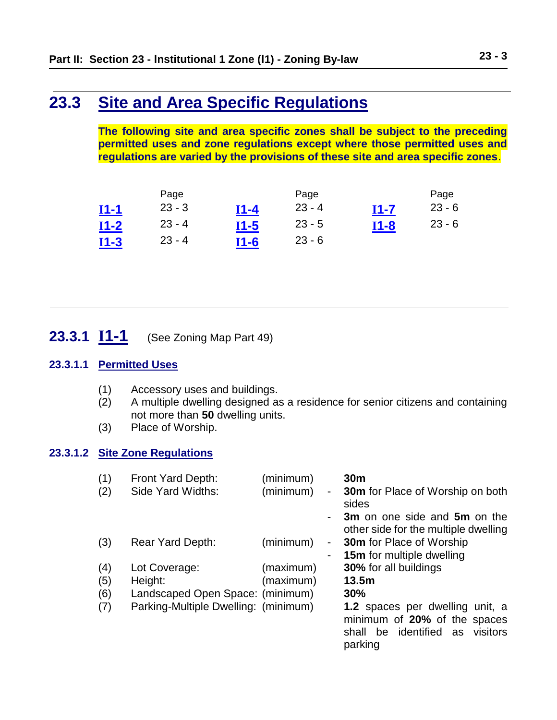## <span id="page-2-0"></span>**23.3 Site and Area Specific Regulations**

**The following site and area specific zones shall be subject to the preceding permitted uses and zone regulations except where those permitted uses and regulations are varied by the provisions of these site and area specific zones**.

|             | Page     |        | Page     |              | Page     |
|-------------|----------|--------|----------|--------------|----------|
| <u>I1-1</u> | $23 - 3$ | $I1-4$ | $23 - 4$ | <u> 11-7</u> | $23 - 6$ |
| <u>I1-2</u> | $23 - 4$ | $I1-5$ | $23 - 5$ | $I1-8$       | $23 - 6$ |
| $I1-3$      | $23 - 4$ | $I1-6$ | $23 - 6$ |              |          |

## <span id="page-2-1"></span>**23.3.1 I1-1** (See Zoning Map Part 49)

#### **23.3.1.1 Permitted Uses**

- (1) Accessory uses and buildings.
- (2) A multiple dwelling designed as a residence for senior citizens and containing not more than **50** dwelling units.
- (3) Place of Worship.

#### **23.3.1.2 Site Zone Regulations**

| (1)<br>(2) | Front Yard Depth:<br>Side Yard Widths: | (minimum)<br>(minimum) | $\sim$         | 30 <sub>m</sub><br><b>30m</b> for Place of Worship on both<br>sides                                              |
|------------|----------------------------------------|------------------------|----------------|------------------------------------------------------------------------------------------------------------------|
|            |                                        |                        | $\blacksquare$ | 3m on one side and 5m on the<br>other side for the multiple dwelling                                             |
| (3)        | Rear Yard Depth:                       | (minimum)              | $\blacksquare$ | 30m for Place of Worship                                                                                         |
|            |                                        |                        |                | <b>15m</b> for multiple dwelling                                                                                 |
| (4)        | Lot Coverage:                          | (maximum)              |                | <b>30%</b> for all buildings                                                                                     |
| (5)        | Height:                                | (maximum)              |                | 13.5m                                                                                                            |
| (6)        | Landscaped Open Space: (minimum)       |                        |                | 30%                                                                                                              |
| (7)        | Parking-Multiple Dwelling: (minimum)   |                        |                | 1.2 spaces per dwelling unit, a<br>minimum of 20% of the spaces<br>be identified as visitors<br>shall<br>parking |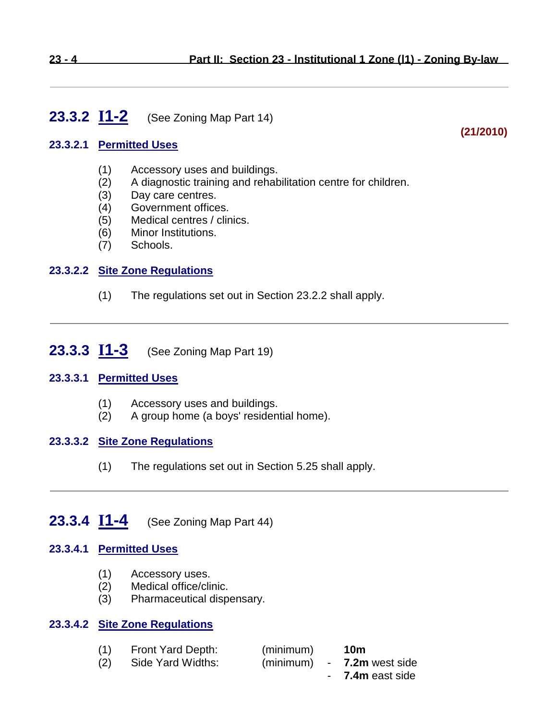## <span id="page-3-1"></span>**23.3.2 I1-2** (See Zoning Map Part 14)

#### **23.3.2.1 Permitted Uses**

- (1) Accessory uses and buildings.
- (2) A diagnostic training and rehabilitation centre for children.
- (3) Day care centres.
- (4) Government offices.
- (5) Medical centres / clinics.
- (6) Minor Institutions.
- (7) Schools.

#### **23.3.2.2 Site Zone Regulations**

(1) The regulations set out in Section 23.2.2 shall apply.

### <span id="page-3-2"></span>**23.3.3 I1-3** (See Zoning Map Part 19)

#### **23.3.3.1 Permitted Uses**

- (1) Accessory uses and buildings.
- (2) A group home (a boys' residential home).

#### **23.3.3.2 Site Zone Regulations**

(1) The regulations set out in Section 5.25 shall apply.

## <span id="page-3-0"></span>**23.3.4 I1-4** (See Zoning Map Part 44)

#### **23.3.4.1 Permitted Uses**

- (1) Accessory uses.
- (2) Medical office/clinic.
- (3) Pharmaceutical dispensary.

#### **23.3.4.2 Site Zone Regulations**

| (1) | Front Yard Depth: | (minimum) | 10m                        |
|-----|-------------------|-----------|----------------------------|
| (2) | Side Yard Widths: |           | (minimum) - 7.2m west side |
|     |                   |           | - 7.4m east side           |

### **(21/2010)**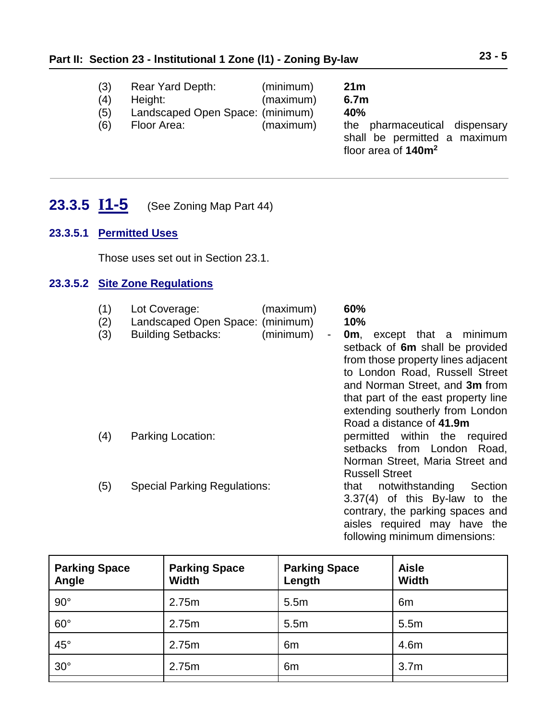- (3) Rear Yard Depth: (minimum) **21m**
- (4) Height: (maximum) **6.7m**
- (5) Landscaped Open Space: (minimum) **40%**
	-
- (6) Floor Area: (maximum) the pharmaceutical dispensary shall be permitted a maximum floor area of **140m<sup>2</sup>**

## <span id="page-4-0"></span>**23.3.5 I1-5** (See Zoning Map Part 44)

#### **23.3.5.1 Permitted Uses**

Those uses set out in Section 23.1.

#### **23.3.5.2 Site Zone Regulations**

| (1)<br>(2)<br>(3) | Lot Coverage:<br>Landscaped Open Space: (minimum)<br><b>Building Setbacks:</b> | (maximum)<br>(minimum)<br>$\overline{\phantom{a}}$ | 60%<br>10%<br>except that a minimum<br>0m.<br>setback of 6m shall be provided<br>from those property lines adjacent<br>to London Road, Russell Street<br>and Norman Street, and 3m from<br>that part of the east property line<br>extending southerly from London<br>Road a distance of 41.9m |
|-------------------|--------------------------------------------------------------------------------|----------------------------------------------------|-----------------------------------------------------------------------------------------------------------------------------------------------------------------------------------------------------------------------------------------------------------------------------------------------|
| (4)               | Parking Location:                                                              |                                                    | permitted within the required<br>setbacks from London<br>Road,<br>Norman Street, Maria Street and<br><b>Russell Street</b>                                                                                                                                                                    |
| (5)               | <b>Special Parking Regulations:</b>                                            |                                                    | notwithstanding<br>Section<br>that<br>3.37(4) of this By-law to the<br>contrary, the parking spaces and<br>aisles required may have the<br>following minimum dimensions:                                                                                                                      |

| <b>Parking Space</b><br>Angle | <b>Parking Space</b><br><b>Width</b> | <b>Parking Space</b><br>Length | <b>Aisle</b><br><b>Width</b> |
|-------------------------------|--------------------------------------|--------------------------------|------------------------------|
| $90^{\circ}$                  | 2.75m                                | 5.5m                           | 6 <sub>m</sub>               |
| $60^\circ$                    | 2.75m                                | 5.5m                           | 5.5m                         |
| $45^{\circ}$                  | 2.75m                                | 6 <sub>m</sub>                 | 4.6m                         |
| $30^\circ$                    | 2.75m                                | 6m                             | 3.7 <sub>m</sub>             |
|                               |                                      |                                |                              |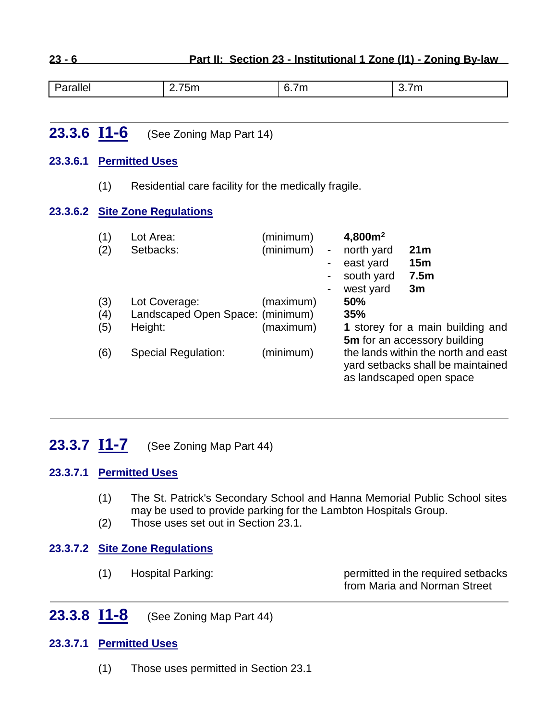**23 - 6 Part II: Section 23 - Institutional 1 Zone (I1) - Zoning By-law**

|  | Parallel | --<br>$\mathsf{L}$ ./5m $\mathsf{L}$ | 6.7m | .<br>3.7 M |
|--|----------|--------------------------------------|------|------------|
|--|----------|--------------------------------------|------|------------|

## <span id="page-5-2"></span>**23.3.6 I1-6** (See Zoning Map Part 14)

#### **23.3.6.1 Permitted Uses**

(1) Residential care facility for the medically fragile.

#### **23.3.6.2 Site Zone Regulations**

| (1)<br>(2) | Lot Area:<br>Setbacks:                      | (minimum)<br>(minimum) | $\blacksquare$ | 4,800m <sup>2</sup><br>north yard<br>east yard<br>south yard<br>west yard | 21 <sub>m</sub><br>15m<br>7.5 <sub>m</sub><br>3m                                                                                     |
|------------|---------------------------------------------|------------------------|----------------|---------------------------------------------------------------------------|--------------------------------------------------------------------------------------------------------------------------------------|
| (3)        | Lot Coverage:                               | (maximum)              |                | 50%                                                                       |                                                                                                                                      |
| (4)<br>(5) | Landscaped Open Space: (minimum)<br>Height: | (maximum)              |                | 35%                                                                       | 1 storey for a main building and                                                                                                     |
| (6)        | <b>Special Regulation:</b>                  | (minimum)              |                |                                                                           | 5m for an accessory building<br>the lands within the north and east<br>yard setbacks shall be maintained<br>as landscaped open space |

## <span id="page-5-0"></span>**23.3.7 I1-7** (See Zoning Map Part 44)

#### **23.3.7.1 Permitted Uses**

- (1) The St. Patrick's Secondary School and Hanna Memorial Public School sites may be used to provide parking for the Lambton Hospitals Group.
- (2) Those uses set out in Section 23.1.

#### **23.3.7.2 Site Zone Regulations**

<span id="page-5-1"></span>

| (1) | Hospital Parking: | permitted in the required setbacks |
|-----|-------------------|------------------------------------|
|     |                   | from Maria and Norman Street       |

## **23.3.8 I1-8** (See Zoning Map Part 44)

#### **23.3.7.1 Permitted Uses**

(1) Those uses permitted in Section 23.1